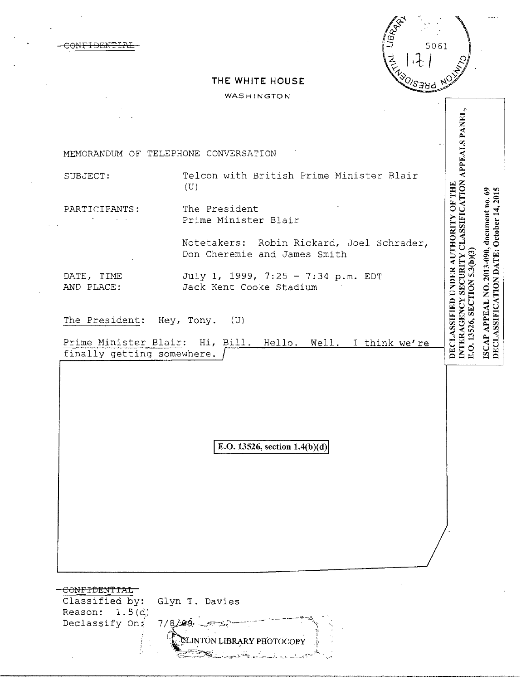5061 VENT-<u>oleso</u>

## **THE WHITE HOUSE**

c<del>onfidential</del>

## WASHINGTON

|                                                               | MEMORANDUM OF TELEPHONE CONVERSATION                                      |                                                                                                                        |
|---------------------------------------------------------------|---------------------------------------------------------------------------|------------------------------------------------------------------------------------------------------------------------|
| SUBJECT:                                                      | Telcon with British Prime Minister Blair<br>(U)                           | SECURITY CLASSIFICATION APPEALS PANEL                                                                                  |
| PARTICIPANTS:                                                 | The President<br>Prime Minister Blair                                     | 2015                                                                                                                   |
|                                                               | Notetakers: Robin Rickard, Joel Schrader,<br>Don Cheremie and James Smith | 5.3(b)(3)                                                                                                              |
| DATE, TIME<br>AND PLACE:                                      | July 1, 1999, 7:25 - 7:34 p.m. EDT<br>Jack Kent Cooke Stadium             | APPEAL NO. 2013-090, document no. 69                                                                                   |
| The President: Hey, Tony.                                     | (U)                                                                       | DECLASSIFIED UNDER AUTHORITY OF THE<br>DECLASSIFICATION DATE: October 14,<br>E.O. 13526, SECTION<br><b>INTERAGENCY</b> |
| finally getting somewhere.                                    | Prime Minister Blair: Hi, Bill. Hello. Well. I think we're                | <b>ISCAP</b>                                                                                                           |
|                                                               | E.O. 13526, section $1.4(b)(d)$                                           |                                                                                                                        |
|                                                               |                                                                           |                                                                                                                        |
|                                                               |                                                                           |                                                                                                                        |
|                                                               |                                                                           |                                                                                                                        |
| <del>CONFIDENTIAL</del><br>Classified by:<br>Reason: $1.5(d)$ | Glyn T. Davies                                                            |                                                                                                                        |
| Declassify On:                                                | 7/8/89<br>CLINTÓN LIBRARY PHOTOCOPY                                       |                                                                                                                        |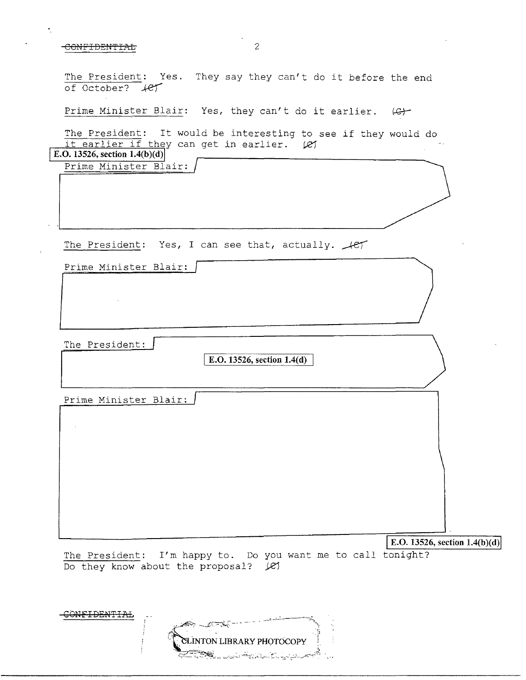## $-$ CONFIDENTIAL  $2$

The President: Yes. They say they can't do it before the end of October? ...(e)

Prime Minister Blair: Yes, they can't do it earlier.  $\varphi$ 

The President: It would be interesting to see if they would do it earlier if they can get in earlier. (e)

Prime Minister Blair: **E.O. 13526, section 1.4(b)(d)** 

The President: Yes, I can see that, actually.  $\sqrt{CT}$ 

Prime Minister Blair:

The President:

**E.O. 13526, section 1.4(d)** 

Prime Minister Blair:

**E.O. 13526, section 1.4(b)(d)** 

The President: I'm happy to. Do you want me to call tonight? Do they know about the proposal?  $\mathcal{L}$ 

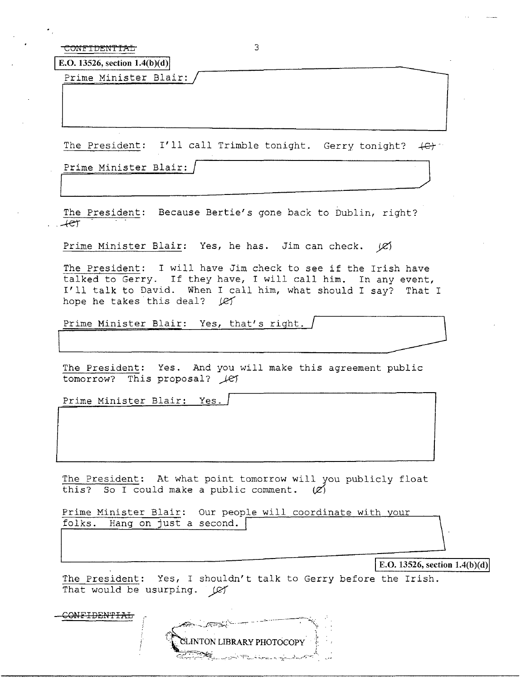CONFIDENTIAL 3

**E.O.** 13526, section  $1.4(b)(d)$ 

Prime Minister Blair:

The President: I'll call Trimble tonight. Gerry tonight?  $\{e\}$ 

 $\overline{\phantom{a}}$  and  $\overline{\phantom{a}}$  and  $\overline{\phantom{a}}$  and  $\overline{\phantom{a}}$  and  $\overline{\phantom{a}}$  and  $\overline{\phantom{a}}$  and  $\overline{\phantom{a}}$  and  $\overline{\phantom{a}}$  and  $\overline{\phantom{a}}$  and  $\overline{\phantom{a}}$  and  $\overline{\phantom{a}}$  and  $\overline{\phantom{a}}$  and  $\overline{\phantom{a}}$  and  $\overline{\phantom{a}}$  a

Prime Minister Blair: /

The President: Because Bertie's gone back to Dublin, right?  $+e\tau$ 

Prime Minister Blair: Yes, he has. Jim can check.  $|C\rangle$ 

The President: I will have Jim check to see if the Irish have talked to Gerry. If they have, I will call him. In any event, I'll talk to David. When I call him, what should I say? That I<br>hope he takes this deal? (e)<br>Prime Minister Blair: Yes, that's right. hope he takes this deal? *JET* 

~----\_\_\_\_--1

The President: Yes. And you will make this agreement public tomorrow? This proposal?  $\angle$ el

Prime Minister Blair: Yes.

The President: At what point tomorrow will you publicly float this? So I could make a public comment.  $(\mathcal{L})$ 

Prime Minister Blair: Our people will coordinate with your folks. Hang on just a second.

**IE.O. 13526, section 1.4(b)(d)** 

The President: Yes, I shouldn't talk to Gerry before the Irish. That would be usurping. GY

CONFIDENTIAL **ARA LATTELL** SLINTON LIBRARY PHOTOCOPY سيعدد وساعته الأسياس سيتباهج